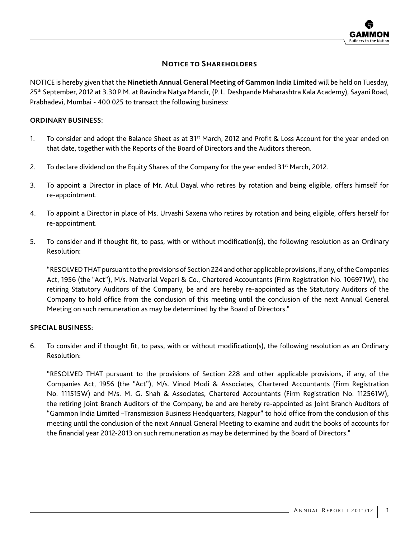# **Notice to Shareholders**

NOTICE is hereby given that the **Ninetieth Annual General Meeting of Gammon India Limited** will be held on Tuesday, 25th September, 2012 at 3.30 P.M. at Ravindra Natya Mandir, (P. L. Deshpande Maharashtra Kala Academy), Sayani Road, Prabhadevi, Mumbai - 400 025 to transact the following business:

### **ORDINARY BUSINESS:**

- 1. To consider and adopt the Balance Sheet as at 31<sup>st</sup> March, 2012 and Profit & Loss Account for the year ended on that date, together with the Reports of the Board of Directors and the Auditors thereon.
- 2. To declare dividend on the Equity Shares of the Company for the year ended  $31^{st}$  March, 2012.
- 3. To appoint a Director in place of Mr. Atul Dayal who retires by rotation and being eligible, offers himself for re-appointment.
- 4. To appoint a Director in place of Ms. Urvashi Saxena who retires by rotation and being eligible, offers herself for re-appointment.
- 5. To consider and if thought fit, to pass, with or without modification(s), the following resolution as an Ordinary Resolution:

"RESOLVED THAT pursuant to the provisions of Section 224 and other applicable provisions, if any, of the Companies Act, 1956 (the "Act"), M/s. Natvarlal Vepari & Co., Chartered Accountants (Firm Registration No. 106971W), the retiring Statutory Auditors of the Company, be and are hereby re-appointed as the Statutory Auditors of the Company to hold office from the conclusion of this meeting until the conclusion of the next Annual General Meeting on such remuneration as may be determined by the Board of Directors."

### **SPECIAL BUSINESS:**

6. To consider and if thought fit, to pass, with or without modification(s), the following resolution as an Ordinary Resolution:

"RESOLVED THAT pursuant to the provisions of Section 228 and other applicable provisions, if any, of the Companies Act, 1956 (the "Act"), M/s. Vinod Modi & Associates, Chartered Accountants (Firm Registration No. 111515W) and M/s. M. G. Shah & Associates, Chartered Accountants (Firm Registration No. 112561W), the retiring Joint Branch Auditors of the Company, be and are hereby re-appointed as Joint Branch Auditors of "Gammon India Limited –Transmission Business Headquarters, Nagpur" to hold office from the conclusion of this meeting until the conclusion of the next Annual General Meeting to examine and audit the books of accounts for the financial year 2012-2013 on such remuneration as may be determined by the Board of Directors."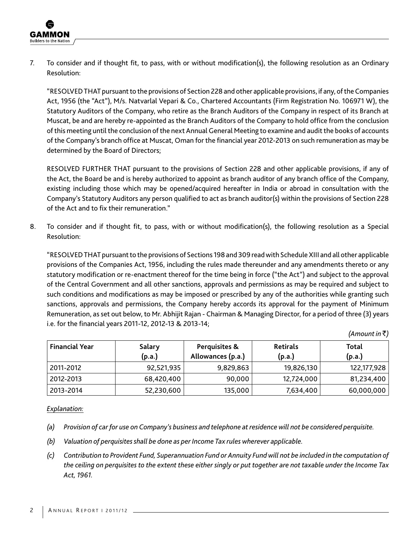7. To consider and if thought fit, to pass, with or without modification(s), the following resolution as an Ordinary Resolution:

"RESOLVED THAT pursuant to the provisions of Section 228 and other applicable provisions, if any, of the Companies Act, 1956 (the "Act"), M/s. Natvarlal Vepari & Co., Chartered Accountants (Firm Registration No. 106971 W), the Statutory Auditors of the Company, who retire as the Branch Auditors of the Company in respect of its Branch at Muscat, be and are hereby re-appointed as the Branch Auditors of the Company to hold office from the conclusion of this meeting until the conclusion of the next Annual General Meeting to examine and audit the books of accounts of the Company's branch office at Muscat, Oman for the financial year 2012-2013 on such remuneration as may be determined by the Board of Directors;

RESOLVED FURTHER THAT pursuant to the provisions of Section 228 and other applicable provisions, if any of the Act, the Board be and is hereby authorized to appoint as branch auditor of any branch office of the Company, existing including those which may be opened/acquired hereafter in India or abroad in consultation with the Company's Statutory Auditors any person qualified to act as branch auditor(s) within the provisions of Section 228 of the Act and to fix their remuneration."

8. To consider and if thought fit, to pass, with or without modification(s), the following resolution as a Special Resolution:

"RESOLVED THAT pursuant to the provisions of Sections 198 and 309 read with Schedule XIII and all other applicable provisions of the Companies Act, 1956, including the rules made thereunder and any amendments thereto or any statutory modification or re-enactment thereof for the time being in force ("the Act") and subject to the approval of the Central Government and all other sanctions, approvals and permissions as may be required and subject to such conditions and modifications as may be imposed or prescribed by any of the authorities while granting such sanctions, approvals and permissions, the Company hereby accords its approval for the payment of Minimum Remuneration, as set out below, to Mr. Abhijit Rajan - Chairman & Managing Director, for a period of three (3) years i.e. for the financial years 2011-12, 2012-13 & 2013-14;

| (Amount in ₹) |  |
|---------------|--|
|---------------|--|

| <b>Financial Year</b> | Salary<br>(p.a.) | Perquisites &<br>Allowances (p.a.) | <b>Retirals</b><br>(p.a.) | Total<br>(p.a.) |
|-----------------------|------------------|------------------------------------|---------------------------|-----------------|
| 2011-2012             | 92,521,935       | 9,829,863                          | 19,826,130                | 122,177,928     |
| 2012-2013             | 68,420,400       | 90,000                             | 12,724,000                | 81,234,400      |
| 2013-2014             | 52,230,600       | 135,000                            | 7,634,400                 | 60,000,000      |

*Explanation:*

- *(a) Provision of car for use on Company's business and telephone at residence will not be considered perquisite.*
- *(b) Valuation of perquisites shall be done as per Income Tax rules wherever applicable.*
- *(c) Contribution to Provident Fund, Superannuation Fund or Annuity Fund will not be included in the computation of the ceiling on perquisites to the extent these either singly or put together are not taxable under the Income Tax Act, 1961.*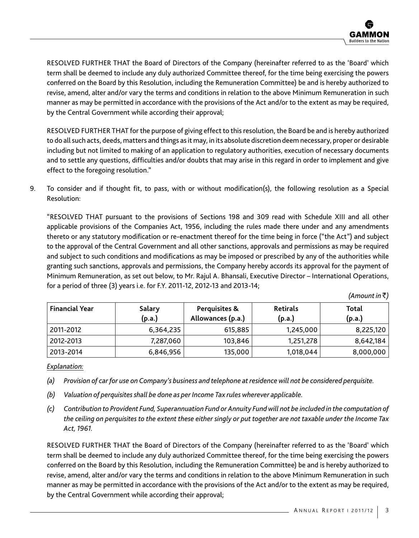

RESOLVED FURTHER THAT the Board of Directors of the Company (hereinafter referred to as the 'Board' which term shall be deemed to include any duly authorized Committee thereof, for the time being exercising the powers conferred on the Board by this Resolution, including the Remuneration Committee) be and is hereby authorized to revise, amend, alter and/or vary the terms and conditions in relation to the above Minimum Remuneration in such manner as may be permitted in accordance with the provisions of the Act and/or to the extent as may be required, by the Central Government while according their approval;

RESOLVED FURTHER THAT for the purpose of giving effect to this resolution, the Board be and is hereby authorized to do all such acts, deeds, matters and things as it may, in its absolute discretion deem necessary, proper or desirable including but not limited to making of an application to regulatory authorities, execution of necessary documents and to settle any questions, difficulties and/or doubts that may arise in this regard in order to implement and give effect to the foregoing resolution."

9. To consider and if thought fit, to pass, with or without modification(s), the following resolution as a Special Resolution:

"RESOLVED THAT pursuant to the provisions of Sections 198 and 309 read with Schedule XIII and all other applicable provisions of the Companies Act, 1956, including the rules made there under and any amendments thereto or any statutory modification or re-enactment thereof for the time being in force ("the Act") and subject to the approval of the Central Government and all other sanctions, approvals and permissions as may be required and subject to such conditions and modifications as may be imposed or prescribed by any of the authorities while granting such sanctions, approvals and permissions, the Company hereby accords its approval for the payment of Minimum Remuneration, as set out below, to Mr. Rajul A. Bhansali, Executive Director – International Operations, for a period of three (3) years i.e. for F.Y. 2011-12, 2012-13 and 2013-14;

 $(A$ *mount in*  $\bar{z}$ )

| <b>Financial Year</b> | Salary<br>(p.a.) | Perquisites &<br>Allowances (p.a.) | <b>Retirals</b><br>(p.a.) | Total<br>(p.a.) |
|-----------------------|------------------|------------------------------------|---------------------------|-----------------|
| 2011-2012             | 6,364,235        | 615,885                            | 1,245,000                 | 8,225,120       |
| 2012-2013             | 7,287,060        | 103,846                            | 1,251,278                 | 8,642,184       |
| 2013-2014             | 6,846,956        | 135,000                            | 1,018,044                 | 8,000,000       |

### *Explanation:*

- *(a) Provision of car for use on Company's business and telephone at residence will not be considered perquisite.*
- *(b) Valuation of perquisites shall be done as per Income Tax rules wherever applicable.*
- *(c) Contribution to Provident Fund, Superannuation Fund or Annuity Fund will not be included in the computation of the ceiling on perquisites to the extent these either singly or put together are not taxable under the Income Tax Act, 1961.*

RESOLVED FURTHER THAT the Board of Directors of the Company (hereinafter referred to as the 'Board' which term shall be deemed to include any duly authorized Committee thereof, for the time being exercising the powers conferred on the Board by this Resolution, including the Remuneration Committee) be and is hereby authorized to revise, amend, alter and/or vary the terms and conditions in relation to the above Minimum Remuneration in such manner as may be permitted in accordance with the provisions of the Act and/or to the extent as may be required, by the Central Government while according their approval;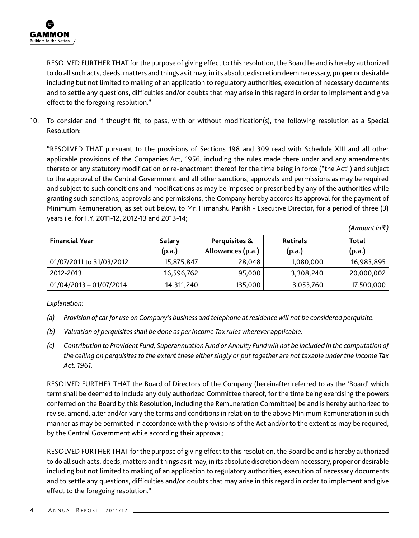RESOLVED FURTHER THAT for the purpose of giving effect to this resolution, the Board be and is hereby authorized to do all such acts, deeds, matters and things as it may, in its absolute discretion deem necessary, proper or desirable including but not limited to making of an application to regulatory authorities, execution of necessary documents and to settle any questions, difficulties and/or doubts that may arise in this regard in order to implement and give effect to the foregoing resolution."

10. To consider and if thought fit, to pass, with or without modification(s), the following resolution as a Special Resolution:

"RESOLVED THAT pursuant to the provisions of Sections 198 and 309 read with Schedule XIII and all other applicable provisions of the Companies Act, 1956, including the rules made there under and any amendments thereto or any statutory modification or re-enactment thereof for the time being in force ("the Act") and subject to the approval of the Central Government and all other sanctions, approvals and permissions as may be required and subject to such conditions and modifications as may be imposed or prescribed by any of the authorities while granting such sanctions, approvals and permissions, the Company hereby accords its approval for the payment of Minimum Remuneration, as set out below, to Mr. Himanshu Parikh - Executive Director, for a period of three (3) years i.e. for F.Y. 2011-12, 2012-13 and 2013-14;

 $(A$ *mount in*  $\bar{z}$ )

| <b>Financial Year</b>     | Salary<br>(p.a.) | Perquisites &<br>Allowances (p.a.) | <b>Retirals</b><br>(p.a.) | Total<br>(p.a.) |
|---------------------------|------------------|------------------------------------|---------------------------|-----------------|
| 01/07/2011 to 31/03/2012  | 15,875,847       | 28.048                             | 1,080,000                 | 16,983,895      |
| 2012-2013                 | 16,596,762       | 95.000                             | 3,308,240                 | 20,000,002      |
| $01/04/2013 - 01/07/2014$ | 14,311,240       | 135,000                            | 3,053,760                 | 17,500,000      |

*Explanation:*

- *(a) Provision of car for use on Company's business and telephone at residence will not be considered perquisite.*
- *(b) Valuation of perquisites shall be done as per Income Tax rules wherever applicable.*
- *(c) Contribution to Provident Fund, Superannuation Fund or Annuity Fund will not be included in the computation of the ceiling on perquisites to the extent these either singly or put together are not taxable under the Income Tax Act, 1961.*

RESOLVED FURTHER THAT the Board of Directors of the Company (hereinafter referred to as the 'Board' which term shall be deemed to include any duly authorized Committee thereof, for the time being exercising the powers conferred on the Board by this Resolution, including the Remuneration Committee) be and is hereby authorized to revise, amend, alter and/or vary the terms and conditions in relation to the above Minimum Remuneration in such manner as may be permitted in accordance with the provisions of the Act and/or to the extent as may be required, by the Central Government while according their approval;

RESOLVED FURTHER THAT for the purpose of giving effect to this resolution, the Board be and is hereby authorized to do all such acts, deeds, matters and things as it may, in its absolute discretion deem necessary, proper or desirable including but not limited to making of an application to regulatory authorities, execution of necessary documents and to settle any questions, difficulties and/or doubts that may arise in this regard in order to implement and give effect to the foregoing resolution."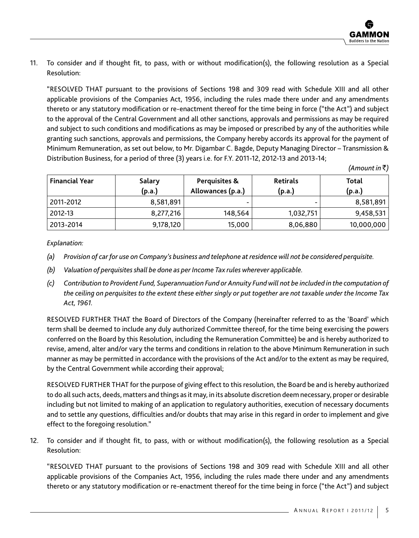11. To consider and if thought fit, to pass, with or without modification(s), the following resolution as a Special Resolution:

"RESOLVED THAT pursuant to the provisions of Sections 198 and 309 read with Schedule XIII and all other applicable provisions of the Companies Act, 1956, including the rules made there under and any amendments thereto or any statutory modification or re-enactment thereof for the time being in force ("the Act") and subject to the approval of the Central Government and all other sanctions, approvals and permissions as may be required and subject to such conditions and modifications as may be imposed or prescribed by any of the authorities while granting such sanctions, approvals and permissions, the Company hereby accords its approval for the payment of Minimum Remuneration, as set out below, to Mr. Digambar C. Bagde, Deputy Managing Director – Transmission & Distribution Business, for a period of three (3) years i.e. for F.Y. 2011-12, 2012-13 and 2013-14;

*(Amount in* `*)*

| <b>Financial Year</b> | Salary<br>(p.a.) | Perquisites &<br>Allowances (p.a.) | <b>Retirals</b><br>(p.a.) | Total<br>(p.a.) |
|-----------------------|------------------|------------------------------------|---------------------------|-----------------|
| 2011-2012             | 8,581,891        |                                    |                           | 8,581,891       |
| 2012-13               | 8,277,216        | 148,564                            | 1,032,751                 | 9,458,531       |
| 2013-2014             | 9,178,120        | 15,000                             | 8,06,880                  | 10,000,000      |

*Explanation:*

- *(a) Provision of car for use on Company's business and telephone at residence will not be considered perquisite.*
- *(b) Valuation of perquisites shall be done as per Income Tax rules wherever applicable.*
- *(c) Contribution to Provident Fund, Superannuation Fund or Annuity Fund will not be included in the computation of the ceiling on perquisites to the extent these either singly or put together are not taxable under the Income Tax Act, 1961.*

RESOLVED FURTHER THAT the Board of Directors of the Company (hereinafter referred to as the 'Board' which term shall be deemed to include any duly authorized Committee thereof, for the time being exercising the powers conferred on the Board by this Resolution, including the Remuneration Committee) be and is hereby authorized to revise, amend, alter and/or vary the terms and conditions in relation to the above Minimum Remuneration in such manner as may be permitted in accordance with the provisions of the Act and/or to the extent as may be required, by the Central Government while according their approval;

RESOLVED FURTHER THAT for the purpose of giving effect to this resolution, the Board be and is hereby authorized to do all such acts, deeds, matters and things as it may, in its absolute discretion deem necessary, proper or desirable including but not limited to making of an application to regulatory authorities, execution of necessary documents and to settle any questions, difficulties and/or doubts that may arise in this regard in order to implement and give effect to the foregoing resolution."

12. To consider and if thought fit, to pass, with or without modification(s), the following resolution as a Special Resolution:

"RESOLVED THAT pursuant to the provisions of Sections 198 and 309 read with Schedule XIII and all other applicable provisions of the Companies Act, 1956, including the rules made there under and any amendments thereto or any statutory modification or re-enactment thereof for the time being in force ("the Act") and subject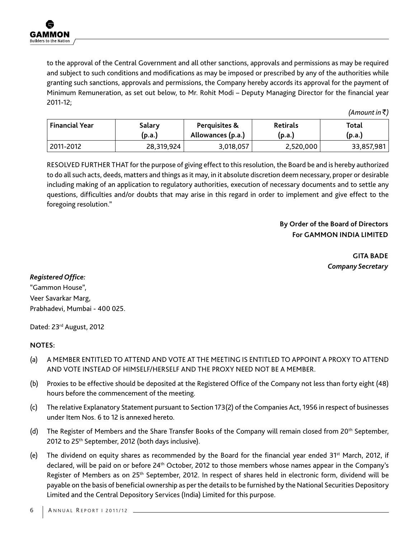to the approval of the Central Government and all other sanctions, approvals and permissions as may be required and subject to such conditions and modifications as may be imposed or prescribed by any of the authorities while granting such sanctions, approvals and permissions, the Company hereby accords its approval for the payment of Minimum Remuneration, as set out below, to Mr. Rohit Modi – Deputy Managing Director for the financial year 2011-12;

*(Amount in* `*)*

| <b>Financial Year</b> | Salary     | Perquisites &     | <b>Retirals</b> | Total      |
|-----------------------|------------|-------------------|-----------------|------------|
|                       | (p.a.)     | Allowances (p.a.) | (p.a.)          | (p.a.)     |
| 2011-2012             | 28,319,924 | 3,018,057         | 2,520,000       | 33,857,981 |

RESOLVED FURTHER THAT for the purpose of giving effect to this resolution, the Board be and is hereby authorized to do all such acts, deeds, matters and things as it may, in it absolute discretion deem necessary, proper or desirable including making of an application to regulatory authorities, execution of necessary documents and to settle any questions, difficulties and/or doubts that may arise in this regard in order to implement and give effect to the foregoing resolution."

# **By Order of the Board of Directors For GAMMON INDIA LIMITED**

**GITA BADE** *Company Secretary*

### *Registered Office:*

"Gammon House", Veer Savarkar Marg, Prabhadevi, Mumbai - 400 025.

Dated: 23<sup>rd</sup> August, 2012

### **NOTES:**

- (a) A MEMBER ENTITLED TO ATTEND AND VOTE AT THE MEETING IS ENTITLED TO APPOINT A PROXY TO ATTEND AND VOTE INSTEAD OF HIMSELF/HERSELF AND THE PROXY NEED NOT BE A MEMBER.
- (b) Proxies to be effective should be deposited at the Registered Office of the Company not less than forty eight (48) hours before the commencement of the meeting.
- (c) The relative Explanatory Statement pursuant to Section 173(2) of the Companies Act, 1956 in respect of businesses under Item Nos. 6 to 12 is annexed hereto.
- (d) The Register of Members and the Share Transfer Books of the Company will remain closed from 20<sup>th</sup> September, 2012 to 25th September, 2012 (both days inclusive).
- (e) The dividend on equity shares as recommended by the Board for the financial year ended  $31^{st}$  March, 2012, if declared, will be paid on or before 24<sup>th</sup> October, 2012 to those members whose names appear in the Company's Register of Members as on 25<sup>th</sup> September, 2012. In respect of shares held in electronic form, dividend will be payable on the basis of beneficial ownership as per the details to be furnished by the National Securities Depository Limited and the Central Depository Services (India) Limited for this purpose.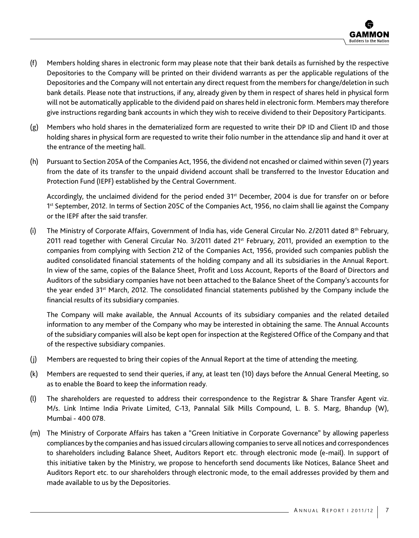- (f) Members holding shares in electronic form may please note that their bank details as furnished by the respective Depositories to the Company will be printed on their dividend warrants as per the applicable regulations of the Depositories and the Company will not entertain any direct request from the members for change/deletion in such bank details. Please note that instructions, if any, already given by them in respect of shares held in physical form will not be automatically applicable to the dividend paid on shares held in electronic form. Members may therefore give instructions regarding bank accounts in which they wish to receive dividend to their Depository Participants.
- (g) Members who hold shares in the dematerialized form are requested to write their DP ID and Client ID and those holding shares in physical form are requested to write their folio number in the attendance slip and hand it over at the entrance of the meeting hall.
- (h) Pursuant to Section 205A of the Companies Act, 1956, the dividend not encashed or claimed within seven (7) years from the date of its transfer to the unpaid dividend account shall be transferred to the Investor Education and Protection Fund (IEPF) established by the Central Government.

Accordingly, the unclaimed dividend for the period ended 31st December, 2004 is due for transfer on or before 1st September, 2012. In terms of Section 205C of the Companies Act, 1956, no claim shall lie against the Company or the IEPF after the said transfer.

(i) The Ministry of Corporate Affairs, Government of India has, vide General Circular No. 2/2011 dated  $8<sup>th</sup>$  February, 2011 read together with General Circular No. 3/2011 dated 21st February, 2011, provided an exemption to the companies from complying with Section 212 of the Companies Act, 1956, provided such companies publish the audited consolidated financial statements of the holding company and all its subsidiaries in the Annual Report. In view of the same, copies of the Balance Sheet, Profit and Loss Account, Reports of the Board of Directors and Auditors of the subsidiary companies have not been attached to the Balance Sheet of the Company's accounts for the year ended 31<sup>st</sup> March, 2012. The consolidated financial statements published by the Company include the financial results of its subsidiary companies.

The Company will make available, the Annual Accounts of its subsidiary companies and the related detailed information to any member of the Company who may be interested in obtaining the same. The Annual Accounts of the subsidiary companies will also be kept open for inspection at the Registered Office of the Company and that of the respective subsidiary companies.

- (j) Members are requested to bring their copies of the Annual Report at the time of attending the meeting.
- (k) Members are requested to send their queries, if any, at least ten (10) days before the Annual General Meeting, so as to enable the Board to keep the information ready.
- (l) The shareholders are requested to address their correspondence to the Registrar & Share Transfer Agent viz. M/s. Link Intime India Private Limited, C-13, Pannalal Silk Mills Compound, L. B. S. Marg, Bhandup (W), Mumbai - 400 078.
- (m) The Ministry of Corporate Affairs has taken a "Green Initiative in Corporate Governance" by allowing paperless compliances by the companies and has issued circulars allowing companies to serve all notices and correspondences to shareholders including Balance Sheet, Auditors Report etc. through electronic mode (e-mail). In support of this initiative taken by the Ministry, we propose to henceforth send documents like Notices, Balance Sheet and Auditors Report etc. to our shareholders through electronic mode, to the email addresses provided by them and made available to us by the Depositories.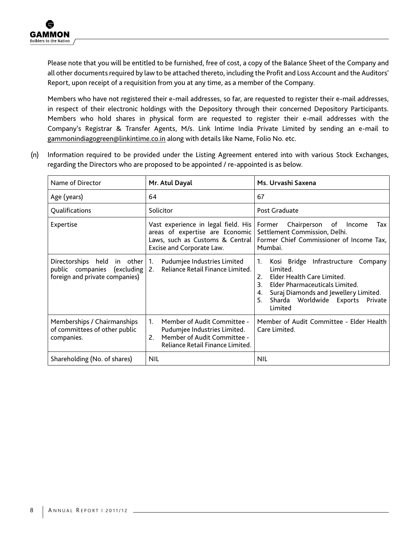Please note that you will be entitled to be furnished, free of cost, a copy of the Balance Sheet of the Company and all other documents required by law to be attached thereto, including the Profit and Loss Account and the Auditors' Report, upon receipt of a requisition from you at any time, as a member of the Company.

Members who have not registered their e-mail addresses, so far, are requested to register their e-mail addresses, in respect of their electronic holdings with the Depository through their concerned Depository Participants. Members who hold shares in physical form are requested to register their e-mail addresses with the Company's Registrar & Transfer Agents, M/s. Link Intime India Private Limited by sending an e-mail to gammonindiagogreen@linkintime.co.in along with details like Name, Folio No. etc.

(n) Information required to be provided under the Listing Agreement entered into with various Stock Exchanges, regarding the Directors who are proposed to be appointed / re-appointed is as below.

| Name of Director                                                                                           | Mr. Atul Dayal                                                                                                                                  | Ms. Urvashi Saxena                                                                                                                                                                                                                                     |  |
|------------------------------------------------------------------------------------------------------------|-------------------------------------------------------------------------------------------------------------------------------------------------|--------------------------------------------------------------------------------------------------------------------------------------------------------------------------------------------------------------------------------------------------------|--|
| Age (years)                                                                                                | 64                                                                                                                                              | 67                                                                                                                                                                                                                                                     |  |
| Qualifications                                                                                             | Solicitor                                                                                                                                       | Post Graduate                                                                                                                                                                                                                                          |  |
| Expertise                                                                                                  | Vast experience in legal field. His<br>areas of expertise are Economic<br>Laws, such as Customs & Central<br>Excise and Corporate Law.          | Chairperson of<br>Income<br>Former<br>Tax<br>Settlement Commission, Delhi.<br>Former Chief Commissioner of Income Tax,<br>Mumbai.                                                                                                                      |  |
| Directorships held<br>in other $\vert$ 1.<br>public companies (excluding<br>foreign and private companies) | Pudumjee Industries Limited<br>Reliance Retail Finance Limited.<br>2.                                                                           | Kosi Bridge Infrastructure<br>Company<br>1.<br>Limited.<br>Elder Health Care Limited.<br>2 <sup>1</sup><br>Elder Pharmaceuticals Limited.<br>3.<br>Suraj Diamonds and Jewellery Limited.<br>4.<br>Sharda Worldwide Exports<br>5.<br>Private<br>Limited |  |
| Memberships / Chairmanships<br>of committees of other public<br>companies.                                 | $1_{-}$<br>Member of Audit Committee -<br>Pudumjee Industries Limited.<br>Member of Audit Committee -<br>2.<br>Reliance Retail Finance Limited. | Member of Audit Committee - Elder Health<br>Care Limited.                                                                                                                                                                                              |  |
| Shareholding (No. of shares)                                                                               | <b>NIL</b>                                                                                                                                      | <b>NIL</b>                                                                                                                                                                                                                                             |  |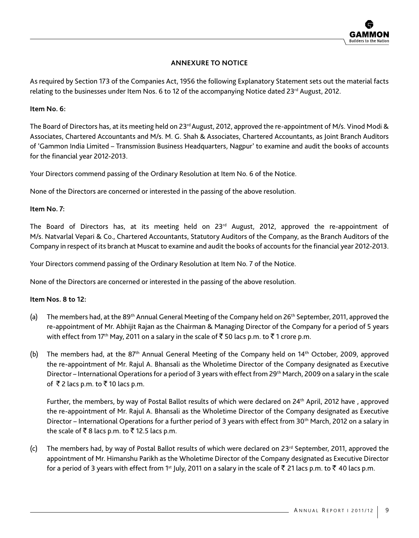### **ANNEXURE TO NOTICE**

As required by Section 173 of the Companies Act, 1956 the following Explanatory Statement sets out the material facts relating to the businesses under Item Nos. 6 to 12 of the accompanying Notice dated 23<sup>rd</sup> August, 2012.

#### **Item No. 6:**

The Board of Directors has, at its meeting held on 23<sup>rd</sup> August, 2012, approved the re-appointment of M/s. Vinod Modi & Associates, Chartered Accountants and M/s. M. G. Shah & Associates, Chartered Accountants, as Joint Branch Auditors of 'Gammon India Limited – Transmission Business Headquarters, Nagpur' to examine and audit the books of accounts for the financial year 2012-2013.

Your Directors commend passing of the Ordinary Resolution at Item No. 6 of the Notice.

None of the Directors are concerned or interested in the passing of the above resolution.

### **Item No. 7:**

The Board of Directors has, at its meeting held on 23<sup>rd</sup> August, 2012, approved the re-appointment of M/s. Natvarlal Vepari & Co., Chartered Accountants, Statutory Auditors of the Company, as the Branch Auditors of the Company in respect of its branch at Muscat to examine and audit the books of accounts for the financial year 2012-2013.

Your Directors commend passing of the Ordinary Resolution at Item No. 7 of the Notice.

None of the Directors are concerned or interested in the passing of the above resolution.

### **Item Nos. 8 to 12:**

- (a) The members had, at the 89<sup>th</sup> Annual General Meeting of the Company held on 26<sup>th</sup> September, 2011, approved the re-appointment of Mr. Abhijit Rajan as the Chairman & Managing Director of the Company for a period of 5 years with effect from 17<sup>th</sup> May, 2011 on a salary in the scale of  $\bar{\xi}$  50 lacs p.m. to  $\bar{\xi}$  1 crore p.m.
- (b) The members had, at the 87<sup>th</sup> Annual General Meeting of the Company held on 14<sup>th</sup> October, 2009, approved the re-appointment of Mr. Rajul A. Bhansali as the Wholetime Director of the Company designated as Executive Director – International Operations for a period of 3 years with effect from 29th March, 2009 on a salary in the scale of  $\bar{\tau}$  2 lacs p.m. to  $\bar{\tau}$  10 lacs p.m.

Further, the members, by way of Postal Ballot results of which were declared on 24th April, 2012 have , approved the re-appointment of Mr. Rajul A. Bhansali as the Wholetime Director of the Company designated as Executive Director – International Operations for a further period of 3 years with effect from 30<sup>th</sup> March, 2012 on a salary in the scale of  $\bar{\tau}$  8 lacs p.m. to  $\bar{\tau}$  12.5 lacs p.m.

(c) The members had, by way of Postal Ballot results of which were declared on  $23<sup>rd</sup>$  September, 2011, approved the appointment of Mr. Himanshu Parikh as the Wholetime Director of the Company designated as Executive Director for a period of 3 years with effect from 1<sup>st</sup> July, 2011 on a salary in the scale of  $\bar{z}$  21 lacs p.m. to  $\bar{z}$  40 lacs p.m.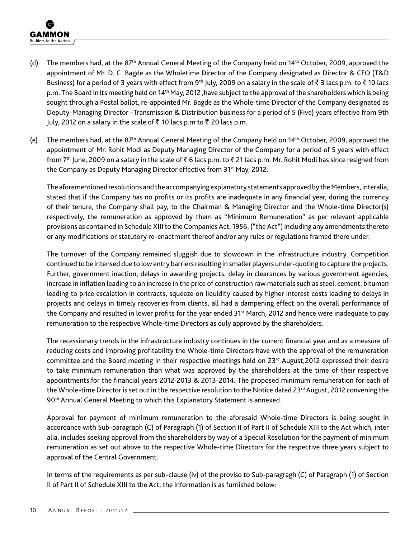- (d) The members had, at the 87th Annual General Meeting of the Company held on 14th October, 2009, approved the appointment of Mr. D. C. Bagde as the Wholetime Director of the Company designated as Director & CEO (T&D Business) for a period of 3 years with effect from 9<sup>th</sup> July, 2009 on a salary in the scale of  $\bar{\zeta}$  3 lacs p.m. to  $\bar{\zeta}$  10 lacs p.m. The Board in its meeting held on 14<sup>th</sup> May, 2012 ,have subject to the approval of the shareholders which is being sought through a Postal ballot, re-appointed Mr. Bagde as the Whole-time Director of the Company designated as Deputy-Managing Director –Transmission & Distribution business for a period of 5 (Five) years effective from 9th July, 2012 on a salary in the scale of ₹ 10 lacs p.m to ₹ 20 lacs p.m.
- (e) The members had, at the 87th Annual General Meeting of the Company held on 14th October, 2009, approved the appointment of Mr. Rohit Modi as Deputy Managing Director of the Company for a period of 5 years with effect from  $7<sup>th</sup>$  June, 2009 on a salary in the scale of  $\bar{\tau}$  6 lacs p.m. to  $\bar{\tau}$  21 lacs p.m. Mr. Rohit Modi has since resigned from the Company as Deputy Managing Director effective from 31<sup>st</sup> May, 2012.

The aforementioned resolutions and the accompanying explanatory statements approved by the Members, interalia, stated that if the Company has no profits or its profits are inadequate in any financial year, during the currency of their tenure, the Company shall pay, to the Chairman & Managing Director and the Whole-time Director(s) respectively, the remuneration as approved by them as "Minimum Remuneration" as per relevant applicable provisions as contained in Schedule XIII to the Companies Act, 1956, ("the Act") including any amendments thereto or any modifications or statutory re-enactment thereof and/or any rules or regulations framed there under.

The turnover of the Company remained sluggish due to slowdown in the infrastructure industry. Competition continued to be intensed due to low entry barriers resulting in smaller players under-quoting to capture the projects. Further, government inaction, delays in awarding projects, delay in clearances by various government agencies, increase in inflation leading to an increase in the price of construction raw materials such as steel, cement, bitumen leading to price escalation in contracts, squeeze on liquidity caused by higher interest costs leading to delays in projects and delays in timely recoveries from clients, all had a dampening effect on the overall performance of the Company and resulted in lower profits for the year ended 31st March, 2012 and hence were inadequate to pay remuneration to the respective Whole-time Directors as duly approved by the shareholders.

The recessionary trends in the infrastructure industry continues in the current financial year and as a measure of reducing costs and improving profitability the Whole-time Directors have with the approval of the remuneration committee and the Board meeting in their respective meetings held on 23<sup>rd</sup> August, 2012 expressed their desire to take minimum remuneration than what was approved by the shareholders at the time of their respective appointments,for the financial years 2012-2013 & 2013-2014. The proposed minimum remuneration for each of the Whole-time Director is set out in the respective resolution to the Notice dated 23<sup>rd</sup> August, 2012 convening the 90<sup>th</sup> Annual General Meeting to which this Explanatory Statement is annexed.

Approval for payment of minimum remuneration to the aforesaid Whole-time Directors is being sought in accordance with Sub-paragraph (C) of Paragraph (1) of Section II of Part II of Schedule XIII to the Act which, inter alia, includes seeking approval from the shareholders by way of a Special Resolution for the payment of minimum remuneration as set out above to the respective Whole-time Directors for the respective three years subject to approval of the Central Government.

In terms of the requirements as per sub-clause (iv) of the proviso to Sub-paragragh (C) of Paragraph (1) of Section II of Part II of Schedule XIII to the Act, the information is as furnished below: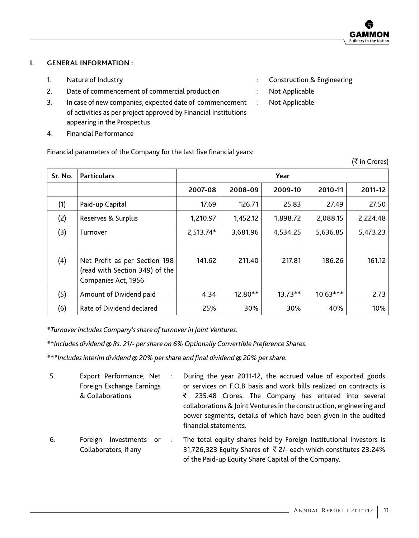(₹ in Crores)

### **I. GENERAL INFORMATION :**

- 1. Nature of Industry **State Act and State Act and State Act and State Act and State Act and State Act and State Act and State Act and State Act and State Act and State Act and State Act and State Act and State Act and Sta**
- 2. Date of commencement of commercial production : Not Applicable
- 3. In case of new companies, expected date of commencement of activities as per project approved by Financial Institutions appearing in the Prospectus
- 4. Financial Performance

- 
- : Not Applicable

Financial parameters of the Company for the last five financial years:

| Sr. No. | <b>Particulars</b><br>Year                                                             |           |          |           |            |          |
|---------|----------------------------------------------------------------------------------------|-----------|----------|-----------|------------|----------|
|         |                                                                                        | 2007-08   | 2008-09  | 2009-10   | 2010-11    | 2011-12  |
| (1)     | Paid-up Capital                                                                        | 17.69     | 126.71   | 25.83     | 27.49      | 27.50    |
| (2)     | Reserves & Surplus                                                                     | 1,210.97  | 1,452.12 | 1,898.72  | 2,088.15   | 2,224.48 |
| (3)     | Turnover                                                                               | 2,513.74* | 3,681.96 | 4,534.25  | 5,636.85   | 5,473.23 |
| (4)     | Net Profit as per Section 198<br>(read with Section 349) of the<br>Companies Act, 1956 | 141.62    | 211.40   | 217.81    | 186.26     | 161.12   |
| (5)     | Amount of Dividend paid                                                                | 4.34      | 12.80**  | $13.73**$ | $10.63***$ | 2.73     |
| (6)     | Rate of Dividend declared                                                              | 25%       | 30%      | 30%       | 40%        | 10%      |

*\*Turnover includes Company's share of turnover in Joint Ventures.*

*\*\*Includes dividend @ Rs. 21/- per share on 6% Optionally Convertible Preference Shares.*

*\*\*\*Includes interim dividend @ 20% per share and final dividend @ 20% per share.*

| 5.         | Export Performance, Net   | $\ddot{\phantom{a}}$ | During the year 2011-12, the accrued value of exported goods                                   |
|------------|---------------------------|----------------------|------------------------------------------------------------------------------------------------|
|            | Foreign Exchange Earnings |                      | or services on F.O.B basis and work bills realized on contracts is                             |
|            | & Collaborations          |                      | $\bar{\xi}$ 235.48 Crores. The Company has entered into several                                |
|            |                           |                      | collaborations & Joint Ventures in the construction, engineering and                           |
|            |                           |                      | power segments, details of which have been given in the audited                                |
|            |                           |                      | financial statements.                                                                          |
| $\epsilon$ |                           |                      | Fausten Jurrantes en in The Astal service shapes hald be Fausten Justicitional Jurrantens is i |

6. Foreign Investments or Collaborators, if any : The total equity shares held by Foreign Institutional Investors is 31,726,323 Equity Shares of  $\overline{5}$  2/- each which constitutes 23.24% of the Paid-up Equity Share Capital of the Company.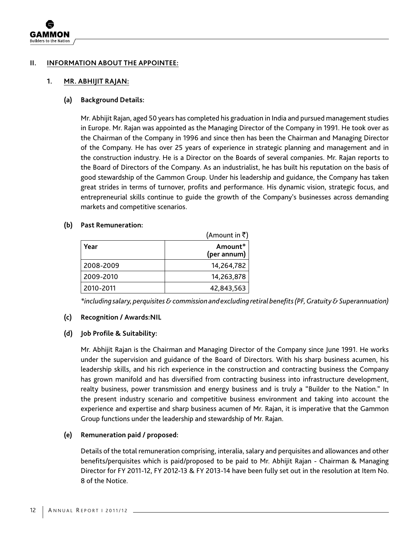

### **II. INFORMATION ABOUT THE APPOINTEE:**

#### **1. MR. ABHIJIT RAJAN:**

#### **(a) Background Details:**

 Mr. Abhijit Rajan, aged 50 years has completed his graduation in India and pursued management studies in Europe. Mr. Rajan was appointed as the Managing Director of the Company in 1991. He took over as the Chairman of the Company in 1996 and since then has been the Chairman and Managing Director of the Company. He has over 25 years of experience in strategic planning and management and in the construction industry. He is a Director on the Boards of several companies. Mr. Rajan reports to the Board of Directors of the Company. As an industrialist, he has built his reputation on the basis of good stewardship of the Gammon Group. Under his leadership and guidance, the Company has taken great strides in terms of turnover, profits and performance. His dynamic vision, strategic focus, and entrepreneurial skills continue to guide the growth of the Company's businesses across demanding markets and competitive scenarios.

#### **(b) Past Remuneration:**

|           | (Amount in $\bar{z}$ ) |
|-----------|------------------------|
| Year      | Amount*<br>(per annum) |
| 2008-2009 | 14,264,782             |
| 2009-2010 | 14,263,878             |
| 2010-2011 | 42,843,563             |

 *\*including salary, perquisites & commission and excluding retiral benefits (PF, Gratuity & Superannuation)*

### **(c) Recognition / Awards:NIL**

### **(d) Job Profile & Suitability:**

 Mr. Abhijit Rajan is the Chairman and Managing Director of the Company since June 1991. He works under the supervision and guidance of the Board of Directors. With his sharp business acumen, his leadership skills, and his rich experience in the construction and contracting business the Company has grown manifold and has diversified from contracting business into infrastructure development, realty business, power transmission and energy business and is truly a "Builder to the Nation." In the present industry scenario and competitive business environment and taking into account the experience and expertise and sharp business acumen of Mr. Rajan, it is imperative that the Gammon Group functions under the leadership and stewardship of Mr. Rajan.

### **(e) Remuneration paid / proposed:**

 Details of the total remuneration comprising, interalia, salary and perquisites and allowances and other benefits/perquisites which is paid/proposed to be paid to Mr. Abhijit Rajan - Chairman & Managing Director for FY 2011-12, FY 2012-13 & FY 2013-14 have been fully set out in the resolution at Item No. 8 of the Notice.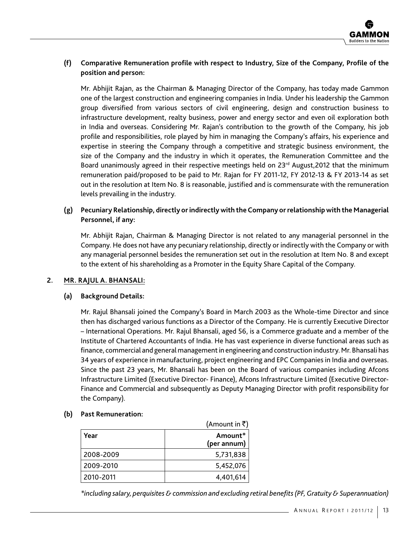### **(f) Comparative Remuneration profile with respect to Industry, Size of the Company, Profile of the position and person:**

 Mr. Abhijit Rajan, as the Chairman & Managing Director of the Company, has today made Gammon one of the largest construction and engineering companies in India. Under his leadership the Gammon group diversified from various sectors of civil engineering, design and construction business to infrastructure development, realty business, power and energy sector and even oil exploration both in India and overseas. Considering Mr. Rajan's contribution to the growth of the Company, his job profile and responsibilities, role played by him in managing the Company's affairs, his experience and expertise in steering the Company through a competitive and strategic business environment, the size of the Company and the industry in which it operates, the Remuneration Committee and the Board unanimously agreed in their respective meetings held on  $23<sup>rd</sup>$  August, 2012 that the minimum remuneration paid/proposed to be paid to Mr. Rajan for FY 2011-12, FY 2012-13 & FY 2013-14 as set out in the resolution at Item No. 8 is reasonable, justified and is commensurate with the remuneration levels prevailing in the industry.

### **(g) Pecuniary Relationship, directly or indirectly with the Company or relationship with the Managerial Personnel, if any:**

 Mr. Abhijit Rajan, Chairman & Managing Director is not related to any managerial personnel in the Company. He does not have any pecuniary relationship, directly or indirectly with the Company or with any managerial personnel besides the remuneration set out in the resolution at Item No. 8 and except to the extent of his shareholding as a Promoter in the Equity Share Capital of the Company.

### **2. MR. RAJUL A. BHANSALI:**

### **(a) Background Details:**

 Mr. Rajul Bhansali joined the Company's Board in March 2003 as the Whole-time Director and since then has discharged various functions as a Director of the Company. He is currently Executive Director – International Operations. Mr. Rajul Bhansali, aged 56, is a Commerce graduate and a member of the Institute of Chartered Accountants of India. He has vast experience in diverse functional areas such as finance, commercial and general management in engineering and construction industry. Mr. Bhansali has 34 years of experience in manufacturing, project engineering and EPC Companies in India and overseas. Since the past 23 years, Mr. Bhansali has been on the Board of various companies including Afcons Infrastructure Limited (Executive Director- Finance), Afcons Infrastructure Limited (Executive Director-Finance and Commercial and subsequently as Deputy Managing Director with profit responsibility for the Company).

### **(b) Past Remuneration:**

|           | (Amount in $\bar{z}$ ) |
|-----------|------------------------|
| Year      | Amount*<br>(per annum) |
| 2008-2009 | 5,731,838              |
| 2009-2010 | 5,452,076              |
| 2010-2011 | 4,401,614              |

 *\*including salary, perquisites & commission and excluding retiral benefits (PF, Gratuity & Superannuation)*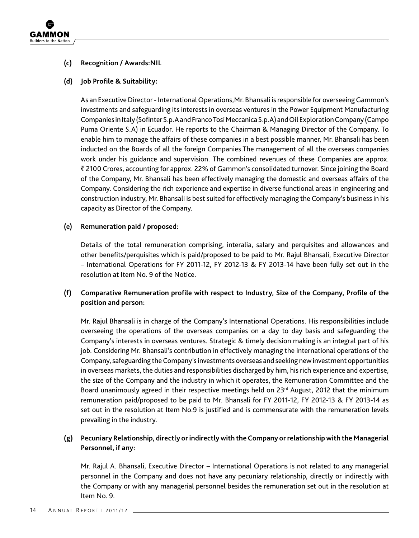

### **(c) Recognition / Awards:NIL**

### **(d) Job Profile & Suitability:**

 As an Executive Director - International Operations,Mr. Bhansali is responsible for overseeing Gammon's investments and safeguarding its interests in overseas ventures in the Power Equipment Manufacturing Companies in Italy (Sofinter S.p.A and Franco Tosi Meccanica S.p.A) and Oil Exploration Company (Campo Puma Oriente S.A) in Ecuador. He reports to the Chairman & Managing Director of the Company. To enable him to manage the affairs of these companies in a best possible manner, Mr. Bhansali has been inducted on the Boards of all the foreign Companies.The management of all the overseas companies work under his guidance and supervision. The combined revenues of these Companies are approx. ` 2100 Crores, accounting for approx. 22% of Gammon's consolidated turnover. Since joining the Board of the Company, Mr. Bhansali has been effectively managing the domestic and overseas affairs of the Company. Considering the rich experience and expertise in diverse functional areas in engineering and construction industry, Mr. Bhansali is best suited for effectively managing the Company's business in his capacity as Director of the Company.

### **(e) Remuneration paid / proposed:**

 Details of the total remuneration comprising, interalia, salary and perquisites and allowances and other benefits/perquisites which is paid/proposed to be paid to Mr. Rajul Bhansali, Executive Director – International Operations for FY 2011-12, FY 2012-13 & FY 2013-14 have been fully set out in the resolution at Item No. 9 of the Notice.

# **(f) Comparative Remuneration profile with respect to Industry, Size of the Company, Profile of the position and person:**

 Mr. Rajul Bhansali is in charge of the Company's International Operations. His responsibilities include overseeing the operations of the overseas companies on a day to day basis and safeguarding the Company's interests in overseas ventures. Strategic & timely decision making is an integral part of his job. Considering Mr. Bhansali's contribution in effectively managing the international operations of the Company, safeguarding the Company's investments overseas and seeking new investment opportunities in overseas markets, the duties and responsibilities discharged by him, his rich experience and expertise, the size of the Company and the industry in which it operates, the Remuneration Committee and the Board unanimously agreed in their respective meetings held on  $23<sup>rd</sup>$  August, 2012 that the minimum remuneration paid/proposed to be paid to Mr. Bhansali for FY 2011-12, FY 2012-13 & FY 2013-14 as set out in the resolution at Item No.9 is justified and is commensurate with the remuneration levels prevailing in the industry.

### **(g) Pecuniary Relationship, directly or indirectly with the Company or relationship with the Managerial Personnel, if any:**

 Mr. Rajul A. Bhansali, Executive Director – International Operations is not related to any managerial personnel in the Company and does not have any pecuniary relationship, directly or indirectly with the Company or with any managerial personnel besides the remuneration set out in the resolution at Item No. 9.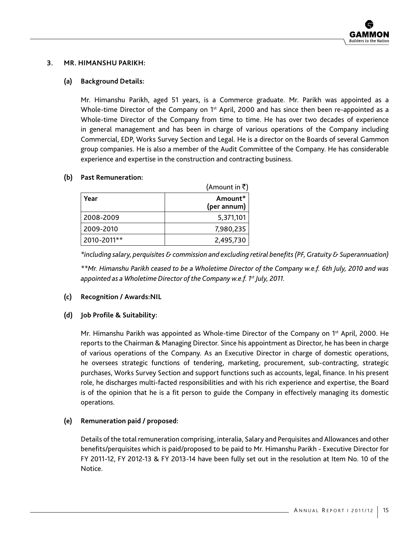### **3. MR. HIMANSHU PARIKH:**

### **(a) Background Details:**

 Mr. Himanshu Parikh, aged 51 years, is a Commerce graduate. Mr. Parikh was appointed as a Whole-time Director of the Company on  $1<sup>st</sup>$  April, 2000 and has since then been re-appointed as a Whole-time Director of the Company from time to time. He has over two decades of experience in general management and has been in charge of various operations of the Company including Commercial, EDP, Works Survey Section and Legal. He is a director on the Boards of several Gammon group companies. He is also a member of the Audit Committee of the Company. He has considerable experience and expertise in the construction and contracting business.

### **(b) Past Remuneration:**

|             | (Amount in $\bar{z}$ ) |
|-------------|------------------------|
| Year        | Amount*<br>(per annum) |
| 2008-2009   | 5,371,101              |
| 2009-2010   | 7,980,235              |
| 2010-2011** | 2,495,730              |

 *\*including salary, perquisites & commission and excluding retiral benefits (PF, Gratuity & Superannuation)*

 *\*\*Mr. Himanshu Parikh ceased to be a Wholetime Director of the Company w.e.f. 6th July, 2010 and was appointed as a Wholetime Director of the Company w.e.f. 1st July, 2011.*

### **(c) Recognition / Awards:NIL**

### **(d) Job Profile & Suitability:**

Mr. Himanshu Parikh was appointed as Whole-time Director of the Company on 1<sup>st</sup> April, 2000. He reports to the Chairman & Managing Director. Since his appointment as Director, he has been in charge of various operations of the Company. As an Executive Director in charge of domestic operations, he oversees strategic functions of tendering, marketing, procurement, sub-contracting, strategic purchases, Works Survey Section and support functions such as accounts, legal, finance. In his present role, he discharges multi-facted responsibilities and with his rich experience and expertise, the Board is of the opinion that he is a fit person to guide the Company in effectively managing its domestic operations.

### **(e) Remuneration paid / proposed:**

 Details of the total remuneration comprising, interalia, Salary and Perquisites and Allowances and other benefits/perquisites which is paid/proposed to be paid to Mr. Himanshu Parikh - Executive Director for FY 2011-12, FY 2012-13 & FY 2013-14 have been fully set out in the resolution at Item No. 10 of the Notice.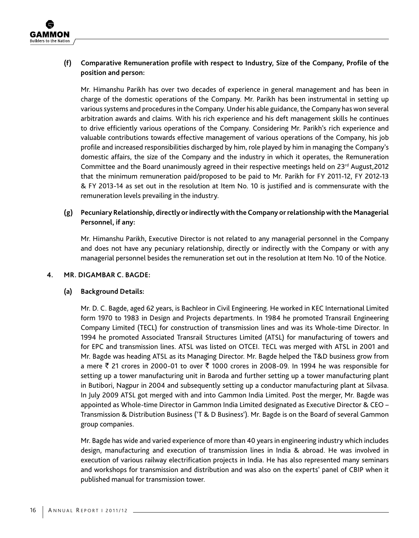

### **(f) Comparative Remuneration profile with respect to Industry, Size of the Company, Profile of the position and person:**

 Mr. Himanshu Parikh has over two decades of experience in general management and has been in charge of the domestic operations of the Company. Mr. Parikh has been instrumental in setting up various systems and procedures in the Company. Under his able guidance, the Company has won several arbitration awards and claims. With his rich experience and his deft management skills he continues to drive efficiently various operations of the Company. Considering Mr. Parikh's rich experience and valuable contributions towards effective management of various operations of the Company, his job profile and increased responsibilities discharged by him, role played by him in managing the Company's domestic affairs, the size of the Company and the industry in which it operates, the Remuneration Committee and the Board unanimously agreed in their respective meetings held on  $23<sup>rd</sup>$  August, 2012 that the minimum remuneration paid/proposed to be paid to Mr. Parikh for FY 2011-12, FY 2012-13 & FY 2013-14 as set out in the resolution at Item No. 10 is justified and is commensurate with the remuneration levels prevailing in the industry.

### **(g) Pecuniary Relationship, directly or indirectly with the Company or relationship with the Managerial Personnel, if any:**

 Mr. Himanshu Parikh, Executive Director is not related to any managerial personnel in the Company and does not have any pecuniary relationship, directly or indirectly with the Company or with any managerial personnel besides the remuneration set out in the resolution at Item No. 10 of the Notice.

### **4. MR. Digambar C. BAGDE:**

### **(a) Background Details:**

 Mr. D. C. Bagde, aged 62 years, is Bachleor in Civil Engineering. He worked in KEC International Limited form 1970 to 1983 in Design and Projects departments. In 1984 he promoted Transrail Engineering Company Limited (TECL) for construction of transmission lines and was its Whole-time Director. In 1994 he promoted Associated Transrail Structures Limited (ATSL) for manufacturing of towers and for EPC and transmission lines. ATSL was listed on OTCEI. TECL was merged with ATSL in 2001 and Mr. Bagde was heading ATSL as its Managing Director. Mr. Bagde helped the T&D business grow from a mere ₹ 21 crores in 2000-01 to over ₹ 1000 crores in 2008-09. In 1994 he was responsible for setting up a tower manufacturing unit in Baroda and further setting up a tower manufacturing plant in Butibori, Nagpur in 2004 and subsequently setting up a conductor manufacturing plant at Silvasa. In July 2009 ATSL got merged with and into Gammon India Limited. Post the merger, Mr. Bagde was appointed as Whole-time Director in Gammon India Limited designated as Executive Director & CEO – Transmission & Distribution Business ('T & D Business'). Mr. Bagde is on the Board of several Gammon group companies.

 Mr. Bagde has wide and varied experience of more than 40 years in engineering industry which includes design, manufacturing and execution of transmission lines in India & abroad. He was involved in execution of various railway electrification projects in India. He has also represented many seminars and workshops for transmission and distribution and was also on the experts' panel of CBIP when it published manual for transmission tower.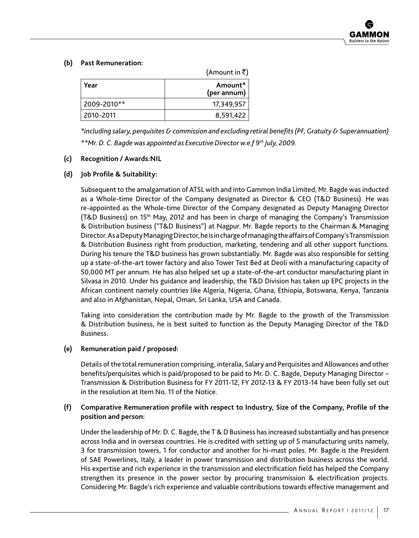### **(b) Past Remuneration:**

|             | (Amount in ₹)          |  |
|-------------|------------------------|--|
| Year        | Amount*<br>(per annum) |  |
| 2009-2010** | 17,349,957             |  |
| 2010-2011   | 8,591,422              |  |

 *\*including salary, perquisites & commission and excluding retiral benefits (PF, Gratuity & Superannuation) \*\*Mr. D. C. Bagde was appointed as Executive Director w.e.f 9th July, 2009.*

### **(c) Recognition / Awards:NIL**

### **(d) Job Profile & Suitability:**

 Subsequent to the amalgamation of ATSL with and into Gammon India Limited, Mr. Bagde was inducted as a Whole-time Director of the Company designated as Director & CEO (T&D Business). He was re-appointed as the Whole-time Director of the Company designated as Deputy Managing Director (T&D Business) on 15th May, 2012 and has been in charge of managing the Company's Transmission & Distribution business ("T&D Business") at Nagpur. Mr. Bagde reports to the Chairman & Managing Director. As a Deputy Managing Director, he is in charge of managing the affairs of Company's Transmission & Distribution Business right from production, marketing, tendering and all other support functions. During his tenure the T&D business has grown substantially. Mr. Bagde was also responsible for setting up a state-of-the-art tower factory and also Tower Test Bed at Deoli with a manufacturing capacity of 50,000 MT per annum. He has also helped set up a state-of-the-art conductor manufacturing plant in Silvasa in 2010. Under his guidance and leadership, the T&D Division has taken up EPC projects in the African continent namely countries like Algeria, Nigeria, Ghana, Ethiopia, Botswana, Kenya, Tanzania and also in Afghanistan, Nepal, Oman, Sri Lanka, USA and Canada.

 Taking into consideration the contribution made by Mr. Bagde to the growth of the Transmission & Distribution business, he is best suited to function as the Deputy Managing Director of the T&D Business.

### **(e) Remuneration paid / proposed:**

 Details of the total remuneration comprising, interalia, Salary and Perquisites and Allowances and other benefits/perquisites which is paid/proposed to be paid to Mr. D. C. Bagde, Deputy Managing Director – Transmission & Distribution Business for FY 2011-12, FY 2012-13 & FY 2013-14 have been fully set out in the resolution at Item No. 11 of the Notice.

### **(f) Comparative Remuneration profile with respect to Industry, Size of the Company, Profile of the position and person:**

 Under the leadership of Mr. D. C. Bagde, the T & D Business has increased substantially and has presence across India and in overseas countries. He is credited with setting up of 5 manufacturing units namely, 3 for transmission towers, 1 for conductor and another for hi-mast poles. Mr. Bagde is the President of SAE Powerlines, Italy, a leader in power transmission and distribution business across the world. His expertise and rich experience in the transmission and electrification field has helped the Company strengthen its presence in the power sector by procuring transmission & electrification projects. Considering Mr. Bagde's rich experience and valuable contributions towards effective management and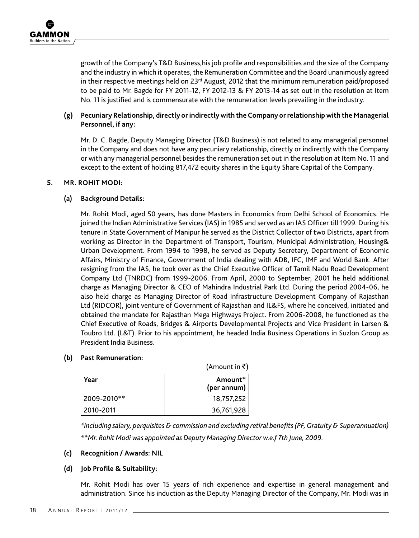growth of the Company's T&D Business,his job profile and responsibilities and the size of the Company and the industry in which it operates, the Remuneration Committee and the Board unanimously agreed in their respective meetings held on 23<sup>rd</sup> August, 2012 that the minimum remuneration paid/proposed to be paid to Mr. Bagde for FY 2011-12, FY 2012-13 & FY 2013-14 as set out in the resolution at Item No. 11 is justified and is commensurate with the remuneration levels prevailing in the industry.

### **(g) Pecuniary Relationship, directly or indirectly with the Company or relationship with the Managerial Personnel, if any:**

 Mr. D. C. Bagde, Deputy Managing Director (T&D Business) is not related to any managerial personnel in the Company and does not have any pecuniary relationship, directly or indirectly with the Company or with any managerial personnel besides the remuneration set out in the resolution at Item No. 11 and except to the extent of holding 817,472 equity shares in the Equity Share Capital of the Company.

### **5. MR. ROHIT MODI:**

### **(a) Background Details:**

 Mr. Rohit Modi, aged 50 years, has done Masters in Economics from Delhi School of Economics. He joined the Indian Administrative Services (IAS) in 1985 and served as an IAS Officer till 1999. During his tenure in State Government of Manipur he served as the District Collector of two Districts, apart from working as Director in the Department of Transport, Tourism, Municipal Administration, Housing& Urban Development. From 1994 to 1998, he served as Deputy Secretary, Department of Economic Affairs, Ministry of Finance, Government of India dealing with ADB, IFC, IMF and World Bank. After resigning from the IAS, he took over as the Chief Executive Officer of Tamil Nadu Road Development Company Ltd (TNRDC) from 1999-2006. From April, 2000 to September, 2001 he held additional charge as Managing Director & CEO of Mahindra Industrial Park Ltd. During the period 2004-06, he also held charge as Managing Director of Road Infrastructure Development Company of Rajasthan Ltd (RIDCOR), joint venture of Government of Rajasthan and IL&FS, where he conceived, initiated and obtained the mandate for Rajasthan Mega Highways Project. From 2006-2008, he functioned as the Chief Executive of Roads, Bridges & Airports Developmental Projects and Vice President in Larsen & Toubro Ltd. (L&T). Prior to his appointment, he headed India Business Operations in Suzlon Group as President India Business.

|  | <b>Past Remuneration:</b> |
|--|---------------------------|
|--|---------------------------|

|             | (Amount in ₹)          |  |
|-------------|------------------------|--|
| Year        | Amount*<br>(per annum) |  |
| 2009-2010** | 18,757,252             |  |
| 2010-2011   | 36,761,928             |  |

 *\*including salary, perquisites & commission and excluding retiral benefits (PF, Gratuity & Superannuation) \*\*Mr. Rohit Modi was appointed as Deputy Managing Director w.e.f 7th June, 2009.*

### **(c) Recognition / Awards: NIL**

### **(d) Job Profile & Suitability:**

 Mr. Rohit Modi has over 15 years of rich experience and expertise in general management and administration. Since his induction as the Deputy Managing Director of the Company, Mr. Modi was in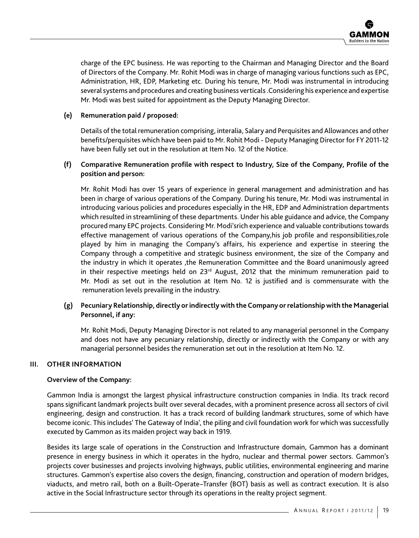charge of the EPC business. He was reporting to the Chairman and Managing Director and the Board of Directors of the Company. Mr. Rohit Modi was in charge of managing various functions such as EPC, Administration, HR, EDP, Marketing etc. During his tenure, Mr. Modi was instrumental in introducing several systems and procedures and creating business verticals .Considering his experience and expertise Mr. Modi was best suited for appointment as the Deputy Managing Director.

### **(e) Remuneration paid / proposed:**

 Details of the total remuneration comprising, interalia, Salary and Perquisites and Allowances and other benefits/perquisites which have been paid to Mr. Rohit Modi - Deputy Managing Director for FY 2011-12 have been fully set out in the resolution at Item No. 12 of the Notice.

### **(f) Comparative Remuneration profile with respect to Industry, Size of the Company, Profile of the position and person:**

 Mr. Rohit Modi has over 15 years of experience in general management and administration and has been in charge of various operations of the Company. During his tenure, Mr. Modi was instrumental in introducing various policies and procedures especially in the HR, EDP and Administration departments which resulted in streamlining of these departments. Under his able guidance and advice, the Company procured many EPC projects. Considering Mr. Modi'srich experience and valuable contributions towards effective management of various operations of the Company,his job profile and responsibilities,role played by him in managing the Company's affairs, his experience and expertise in steering the Company through a competitive and strategic business environment, the size of the Company and the industry in which it operates ,the Remuneration Committee and the Board unanimously agreed in their respective meetings held on  $23<sup>rd</sup>$  August, 2012 that the minimum remuneration paid to Mr. Modi as set out in the resolution at Item No. 12 is justified and is commensurate with the remuneration levels prevailing in the industry.

### **(g) Pecuniary Relationship, directly or indirectly with the Company or relationship with the Managerial Personnel, if any:**

 Mr. Rohit Modi, Deputy Managing Director is not related to any managerial personnel in the Company and does not have any pecuniary relationship, directly or indirectly with the Company or with any managerial personnel besides the remuneration set out in the resolution at Item No. 12.

### **III. OTHER INFORMATION**

### **Overview of the Company:**

Gammon India is amongst the largest physical infrastructure construction companies in India. Its track record spans significant landmark projects built over several decades, with a prominent presence across all sectors of civil engineering, design and construction. It has a track record of building landmark structures, some of which have become iconic. This includes' The Gateway of India', the piling and civil foundation work for which was successfully executed by Gammon as its maiden project way back in 1919.

Besides its large scale of operations in the Construction and Infrastructure domain, Gammon has a dominant presence in energy business in which it operates in the hydro, nuclear and thermal power sectors. Gammon's projects cover businesses and projects involving highways, public utilities, environmental engineering and marine structures. Gammon's expertise also covers the design, financing, construction and operation of modern bridges, viaducts, and metro rail, both on a Built-Operate–Transfer (BOT) basis as well as contract execution. It is also active in the Social Infrastructure sector through its operations in the realty project segment.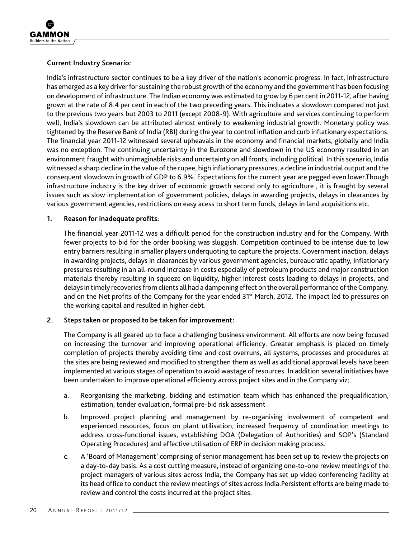### **Current Industry Scenario:**

India's infrastructure sector continues to be a key driver of the nation's economic progress. In fact, infrastructure has emerged as a key driver for sustaining the robust growth of the economy and the government has been focusing on development of infrastructure. The Indian economy was estimated to grow by 6 per cent in 2011-12, after having grown at the rate of 8.4 per cent in each of the two preceding years. This indicates a slowdown compared not just to the previous two years but 2003 to 2011 (except 2008-9). With agriculture and services continuing to perform well, India's slowdown can be attributed almost entirely to weakening industrial growth. Monetary policy was tightened by the Reserve Bank of India (RBI) during the year to control inflation and curb inflationary expectations. The financial year 2011-12 witnessed several upheavals in the economy and financial markets, globally and India was no exception. The continuing uncertainty in the Eurozone and slowdown in the US economy resulted in an environment fraught with unimaginable risks and uncertainty on all fronts, including political. In this scenario, India witnessed a sharp decline in the value of the rupee, high inflationary pressures, a decline in industrial output and the consequent slowdown in growth of GDP to 6.9%. Expectations for the current year are pegged even lower.Though infrastructure industry is the key driver of economic growth second only to agriculture , it is fraught by several issues such as slow implementation of government policies, delays in awarding projects, delays in clearances by various government agencies, restrictions on easy acess to short term funds, delays in land acquisitions etc.

### **1. Reason for inadequate profits:**

The financial year 2011-12 was a difficult period for the construction industry and for the Company. With fewer projects to bid for the order booking was sluggish. Competition continued to be intense due to low entry barriers resulting in smaller players underquoting to capture the projects. Government inaction, delays in awarding projects, delays in clearances by various government agencies, bureaucratic apathy, inflationary pressures resulting in an all-round increase in costs especially of petroleum products and major construction materials thereby resulting in squeeze on liquidity, higher interest costs leading to delays in projects, and delays in timely recoveries from clients all had a dampening effect on the overall performance of the Company. and on the Net profits of the Company for the year ended 31st March, 2012. The impact led to pressures on the working capital and resulted in higher debt.

### **2. Steps taken or proposed to be taken for improvement:**

The Company is all geared up to face a challenging business environment. All efforts are now being focused on increasing the turnover and improving operational efficiency. Greater emphasis is placed on timely completion of projects thereby avoiding time and cost overruns, all systems, processes and procedures at the sites are being reviewed and modified to strengthen them as well as additional approval levels have been implemented at various stages of operation to avoid wastage of resources. In addition several initiatives have been undertaken to improve operational efficiency across project sites and in the Company viz;

- a. Reorganising the marketing, bidding and estimation team which has enhanced the prequalification, estimation, tender evaluation, formal pre-bid risk assessment .
- b. Improved project planning and management by re-organising involvement of competent and experienced resources, focus on plant utilisation, increased frequency of coordination meetings to address cross-functional issues, establishing DOA (Delegation of Authorities) and SOP's (Standard Operating Procedures) and effective utilisation of ERP in decision making process.
- c. A 'Board of Management' comprising of senior management has been set up to review the projects on a day-to-day basis. As a cost cutting measure, instead of organizing one-to-one review meetings of the project managers of various sites across India, the Company has set up video conferencing facility at its head office to conduct the review meetings of sites across India.Persistent efforts are being made to review and control the costs incurred at the project sites.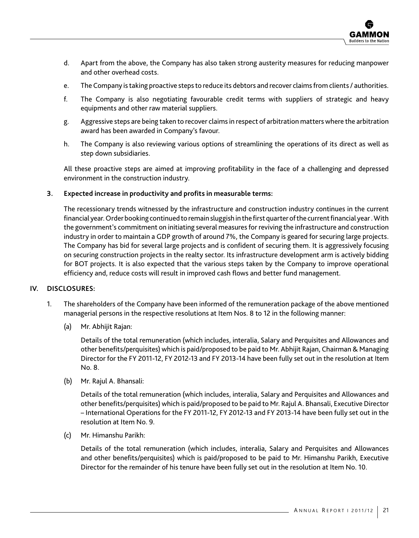- d. Apart from the above, the Company has also taken strong austerity measures for reducing manpower and other overhead costs.
- e. The Company is taking proactive steps to reduce its debtors and recover claims from clients / authorities.
- f. The Company is also negotiating favourable credit terms with suppliers of strategic and heavy equipments and other raw material suppliers.
- g. Aggressive steps are being taken to recover claims in respect of arbitration matters where the arbitration award has been awarded in Company's favour.
- h. The Company is also reviewing various options of streamlining the operations of its direct as well as step down subsidiaries.

All these proactive steps are aimed at improving profitability in the face of a challenging and depressed environment in the construction industry.

### **3. Expected increase in productivity and profits in measurable terms:**

The recessionary trends witnessed by the infrastructure and construction industry continues in the current financial year. Order booking continued to remain sluggish in the first quarter of the current financial year . With the government's commitment on initiating several measures for reviving the infrastructure and construction industry in order to maintain a GDP growth of around 7%, the Company is geared for securing large projects. The Company has bid for several large projects and is confident of securing them. It is aggressively focusing on securing construction projects in the realty sector. Its infrastructure development arm is actively bidding for BOT projects. It is also expected that the various steps taken by the Company to improve operational efficiency and, reduce costs will result in improved cash flows and better fund management.

### **IV. DISCLOSURES:**

- 1. The shareholders of the Company have been informed of the remuneration package of the above mentioned managerial persons in the respective resolutions at Item Nos. 8 to 12 in the following manner:
	- (a) Mr. Abhijit Rajan:

 Details of the total remuneration (which includes, interalia, Salary and Perquisites and Allowances and other benefits/perquisites) which is paid/proposed to be paid to Mr. Abhijit Rajan, Chairman & Managing Director for the FY 2011-12, FY 2012-13 and FY 2013-14 have been fully set out in the resolution at Item No. 8.

(b) Mr. Rajul A. Bhansali:

 Details of the total remuneration (which includes, interalia, Salary and Perquisites and Allowances and other benefits/perquisites) which is paid/proposed to be paid to Mr. Rajul A. Bhansali, Executive Director – International Operations for the FY 2011-12, FY 2012-13 and FY 2013-14 have been fully set out in the resolution at Item No. 9.

(c) Mr. Himanshu Parikh:

 Details of the total remuneration (which includes, interalia, Salary and Perquisites and Allowances and other benefits/perquisites) which is paid/proposed to be paid to Mr. Himanshu Parikh, Executive Director for the remainder of his tenure have been fully set out in the resolution at Item No. 10.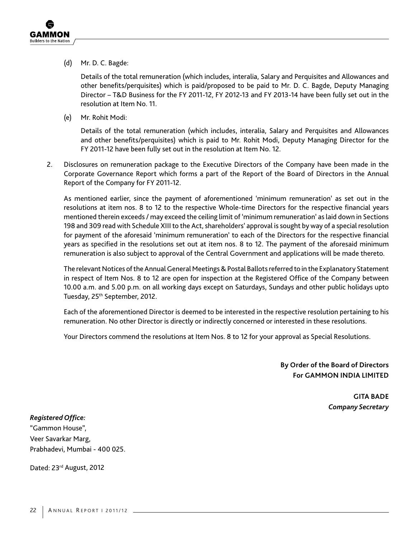(d) Mr. D. C. Bagde:

 Details of the total remuneration (which includes, interalia, Salary and Perquisites and Allowances and other benefits/perquisites) which is paid/proposed to be paid to Mr. D. C. Bagde, Deputy Managing Director – T&D Business for the FY 2011-12, FY 2012-13 and FY 2013-14 have been fully set out in the resolution at Item No. 11.

(e) Mr. Rohit Modi:

 Details of the total remuneration (which includes, interalia, Salary and Perquisites and Allowances and other benefits/perquisites) which is paid to Mr. Rohit Modi, Deputy Managing Director for the FY 2011-12 have been fully set out in the resolution at Item No. 12.

2. Disclosures on remuneration package to the Executive Directors of the Company have been made in the Corporate Governance Report which forms a part of the Report of the Board of Directors in the Annual Report of the Company for FY 2011-12.

As mentioned earlier, since the payment of aforementioned 'minimum remuneration' as set out in the resolutions at item nos. 8 to 12 to the respective Whole-time Directors for the respective financial years mentioned therein exceeds / may exceed the ceiling limit of 'minimum remuneration' as laid down in Sections 198 and 309 read with Schedule XIII to the Act, shareholders' approval is sought by way of a special resolution for payment of the aforesaid 'minimum remuneration' to each of the Directors for the respective financial years as specified in the resolutions set out at item nos. 8 to 12. The payment of the aforesaid minimum remuneration is also subject to approval of the Central Government and applications will be made thereto.

The relevant Notices of the Annual General Meetings & Postal Ballots referred to in the Explanatory Statement in respect of Item Nos. 8 to 12 are open for inspection at the Registered Office of the Company between 10.00 a.m. and 5.00 p.m. on all working days except on Saturdays, Sundays and other public holidays upto Tuesday, 25<sup>th</sup> September, 2012.

Each of the aforementioned Director is deemed to be interested in the respective resolution pertaining to his remuneration. No other Director is directly or indirectly concerned or interested in these resolutions.

Your Directors commend the resolutions at Item Nos. 8 to 12 for your approval as Special Resolutions.

**By Order of the Board of Directors For GAMMON INDIA LIMITED**

> **GITA BADE** *Company Secretary*

*Registered Office:* "Gammon House", Veer Savarkar Marg, Prabhadevi, Mumbai - 400 025.

Dated: 23<sup>rd</sup> August, 2012